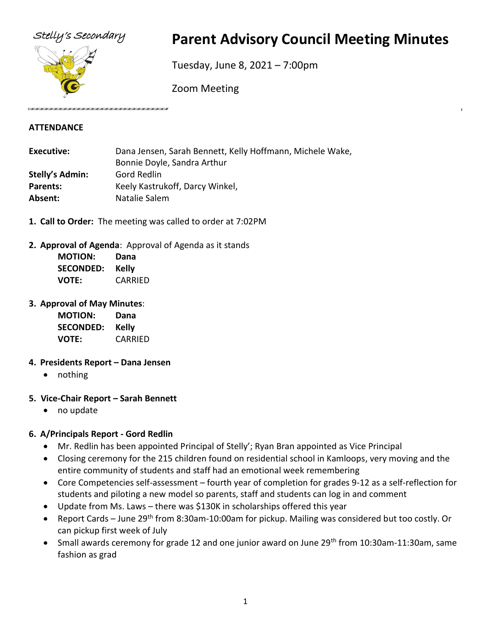

# Stelly's Secondary **Parent Advisory Council Meeting Minutes**

Tuesday, June 8, 2021 – 7:00pm

Zoom Meeting

## **ATTENDANCE**

| Dana Jensen, Sarah Bennett, Kelly Hoffmann, Michele Wake, |
|-----------------------------------------------------------|
| Bonnie Doyle, Sandra Arthur                               |
| Gord Redlin                                               |
| Keely Kastrukoff, Darcy Winkel,                           |
| Natalie Salem                                             |
|                                                           |

- **1. Call to Order:** The meeting was called to order at 7:02PM
- **2. Approval of Agenda**: Approval of Agenda as it stands

| <b>MOTION:</b>   | Dana    |
|------------------|---------|
| <b>SECONDED:</b> | Kelly   |
| VOTE:            | CARRIED |

## **3. Approval of May Minutes**:

| <b>MOTION:</b>   | Dana         |
|------------------|--------------|
| <b>SECONDED:</b> | <b>Kelly</b> |
| VOTE:            | CARRIED      |

## **4. Presidents Report – Dana Jensen**

• nothing

## **5. Vice-Chair Report – Sarah Bennett**

• no update

## **6. A/Principals Report - Gord Redlin**

- Mr. Redlin has been appointed Principal of Stelly'; Ryan Bran appointed as Vice Principal
- Closing ceremony for the 215 children found on residential school in Kamloops, very moving and the entire community of students and staff had an emotional week remembering
- Core Competencies self-assessment fourth year of completion for grades 9-12 as a self-reflection for students and piloting a new model so parents, staff and students can log in and comment
- Update from Ms. Laws there was \$130K in scholarships offered this year
- Report Cards June 29<sup>th</sup> from 8:30am-10:00am for pickup. Mailing was considered but too costly. Or can pickup first week of July
- Small awards ceremony for grade 12 and one junior award on June 29<sup>th</sup> from 10:30am-11:30am, same fashion as grad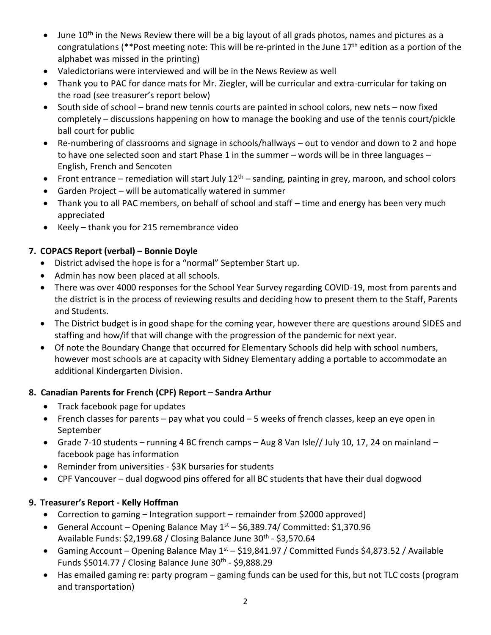- June 10<sup>th</sup> in the News Review there will be a big layout of all grads photos, names and pictures as a congratulations (\*\*Post meeting note: This will be re-printed in the June 17<sup>th</sup> edition as a portion of the alphabet was missed in the printing)
- Valedictorians were interviewed and will be in the News Review as well
- Thank you to PAC for dance mats for Mr. Ziegler, will be curricular and extra-curricular for taking on the road (see treasurer's report below)
- South side of school brand new tennis courts are painted in school colors, new nets now fixed completely – discussions happening on how to manage the booking and use of the tennis court/pickle ball court for public
- Re-numbering of classrooms and signage in schools/hallways out to vendor and down to 2 and hope to have one selected soon and start Phase 1 in the summer – words will be in three languages – English, French and Sencoten
- Front entrance remediation will start July  $12<sup>th</sup>$  sanding, painting in grey, maroon, and school colors
- Garden Project will be automatically watered in summer
- Thank you to all PAC members, on behalf of school and staff time and energy has been very much appreciated
- Keely thank you for 215 remembrance video

## **7. COPACS Report (verbal) – Bonnie Doyle**

- District advised the hope is for a "normal" September Start up.
- Admin has now been placed at all schools.
- There was over 4000 responses for the School Year Survey regarding COVID-19, most from parents and the district is in the process of reviewing results and deciding how to present them to the Staff, Parents and Students.
- The District budget is in good shape for the coming year, however there are questions around SIDES and staffing and how/if that will change with the progression of the pandemic for next year.
- Of note the Boundary Change that occurred for Elementary Schools did help with school numbers, however most schools are at capacity with Sidney Elementary adding a portable to accommodate an additional Kindergarten Division.

## **8. Canadian Parents for French (CPF) Report – Sandra Arthur**

- Track facebook page for updates
- French classes for parents pay what you could 5 weeks of french classes, keep an eye open in September
- Grade 7-10 students running 4 BC french camps Aug 8 Van Isle// July 10, 17, 24 on mainland facebook page has information
- Reminder from universities \$3K bursaries for students
- CPF Vancouver dual dogwood pins offered for all BC students that have their dual dogwood

## **9. Treasurer's Report - Kelly Hoffman**

- Correction to gaming Integration support remainder from \$2000 approved)
- General Account Opening Balance May  $1<sup>st</sup>$  \$6,389.74/ Committed: \$1,370.96 Available Funds: \$2,199.68 / Closing Balance June 30<sup>th</sup> - \$3,570.64
- Gaming Account Opening Balance May  $1<sup>st</sup>$  \$19,841.97 / Committed Funds \$4,873.52 / Available Funds \$5014.77 / Closing Balance June 30<sup>th</sup> - \$9,888.29
- Has emailed gaming re: party program gaming funds can be used for this, but not TLC costs (program and transportation)